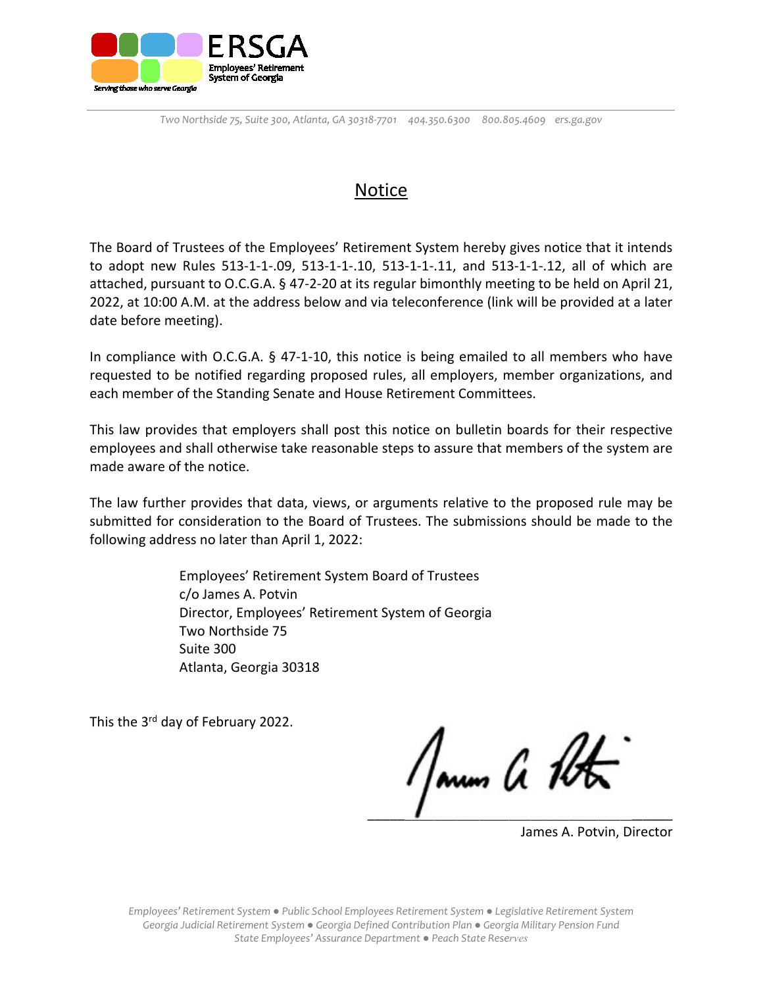

# Notice

The Board of Trustees of the Employees' Retirement System hereby gives notice that it intends to adopt new Rules 513-1-1-.09, 513-1-1-.10, 513-1-1-.11, and 513-1-1-.12, all of which are attached, pursuant to O.C.G.A. § 47-2-20 at its regular bimonthly meeting to be held on April 21, 2022, at 10:00 A.M. at the address below and via teleconference (link will be provided at a later date before meeting).

In compliance with O.C.G.A. § 47-1-10, this notice is being emailed to all members who have requested to be notified regarding proposed rules, all employers, member organizations, and each member of the Standing Senate and House Retirement Committees.

This law provides that employers shall post this notice on bulletin boards for their respective employees and shall otherwise take reasonable steps to assure that members of the system are made aware of the notice.

The law further provides that data, views, or arguments relative to the proposed rule may be submitted for consideration to the Board of Trustees. The submissions should be made to the following address no later than April 1, 2022:

> Employees' Retirement System Board of Trustees c/o James A. Potvin Director, Employees' Retirement System of Georgia Two Northside 75 Suite 300 Atlanta, Georgia 30318

This the 3<sup>rd</sup> day of February 2022.

 $\overline{\phantom{a}}$  ,  $\overline{\phantom{a}}$  ,  $\overline{\phantom{a}}$  ,  $\overline{\phantom{a}}$  ,  $\overline{\phantom{a}}$  ,  $\overline{\phantom{a}}$  ,  $\overline{\phantom{a}}$  ,  $\overline{\phantom{a}}$  ,  $\overline{\phantom{a}}$  ,  $\overline{\phantom{a}}$  ,  $\overline{\phantom{a}}$  ,  $\overline{\phantom{a}}$  ,  $\overline{\phantom{a}}$  ,  $\overline{\phantom{a}}$  ,  $\overline{\phantom{a}}$  ,  $\overline{\phantom{a}}$ 

James A. Potvin, Director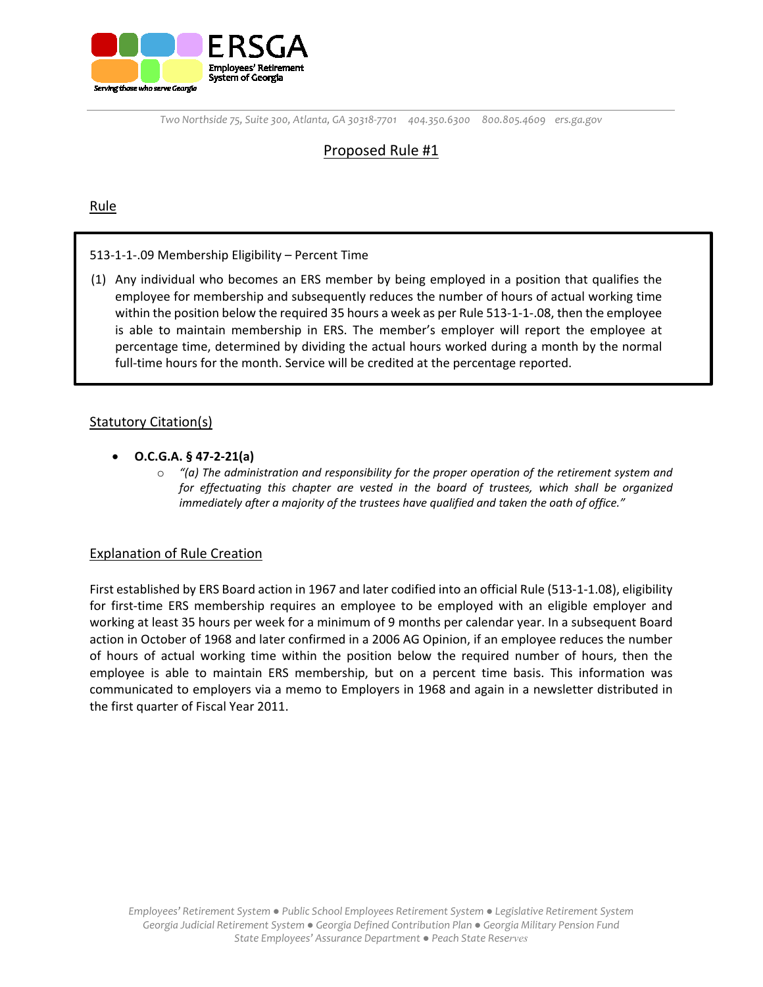

## Proposed Rule #1

### Rule

### 513-1-1-.09 Membership Eligibility – Percent Time

(1) Any individual who becomes an ERS member by being employed in a position that qualifies the employee for membership and subsequently reduces the number of hours of actual working time within the position below the required 35 hours a week as per Rule 513-1-1-.08, then the employee is able to maintain membership in ERS. The member's employer will report the employee at percentage time, determined by dividing the actual hours worked during a month by the normal full-time hours for the month. Service will be credited at the percentage reported.

### Statutory Citation(s)

- **O.C.G.A. § 47-2-21(a)**
	- o *"(a) The administration and responsibility for the proper operation of the retirement system and for effectuating this chapter are vested in the board of trustees, which shall be organized immediately after a majority of the trustees have qualified and taken the oath of office."*

### Explanation of Rule Creation

First established by ERS Board action in 1967 and later codified into an official Rule (513-1-1.08), eligibility for first-time ERS membership requires an employee to be employed with an eligible employer and working at least 35 hours per week for a minimum of 9 months per calendar year. In a subsequent Board action in October of 1968 and later confirmed in a 2006 AG Opinion, if an employee reduces the number of hours of actual working time within the position below the required number of hours, then the employee is able to maintain ERS membership, but on a percent time basis. This information was communicated to employers via a memo to Employers in 1968 and again in a newsletter distributed in the first quarter of Fiscal Year 2011.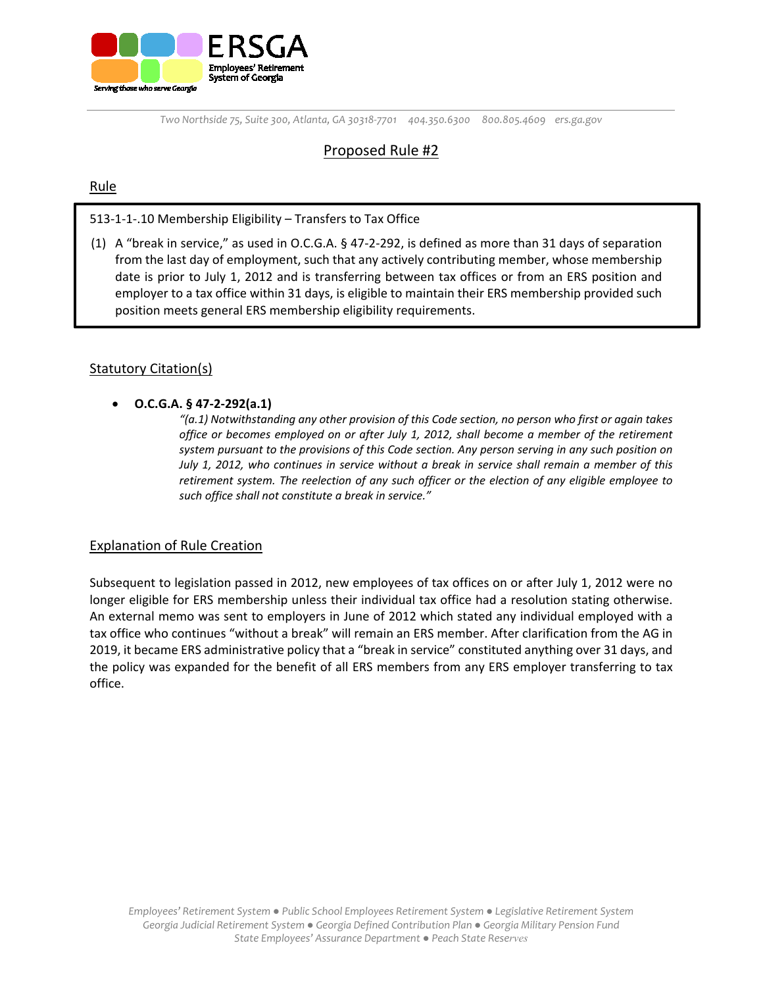

### Proposed Rule #2

### Rule

513-1-1-.10 Membership Eligibility – Transfers to Tax Office

(1) A "break in service," as used in O.C.G.A. § 47-2-292, is defined as more than 31 days of separation from the last day of employment, such that any actively contributing member, whose membership date is prior to July 1, 2012 and is transferring between tax offices or from an ERS position and employer to a tax office within 31 days, is eligible to maintain their ERS membership provided such position meets general ERS membership eligibility requirements.

### **Statutory Citation(s)**

• **O.C.G.A. § 47-2-292(a.1)**

*"(a.1) Notwithstanding any other provision of this Code section, no person who first or again takes office or becomes employed on or after July 1, 2012, shall become a member of the retirement system pursuant to the provisions of this Code section. Any person serving in any such position on July 1, 2012, who continues in service without a break in service shall remain a member of this retirement system. The reelection of any such officer or the election of any eligible employee to such office shall not constitute a break in service."* 

### Explanation of Rule Creation

Subsequent to legislation passed in 2012, new employees of tax offices on or after July 1, 2012 were no longer eligible for ERS membership unless their individual tax office had a resolution stating otherwise. An external memo was sent to employers in June of 2012 which stated any individual employed with a tax office who continues "without a break" will remain an ERS member. After clarification from the AG in 2019, it became ERS administrative policy that a "break in service" constituted anything over 31 days, and the policy was expanded for the benefit of all ERS members from any ERS employer transferring to tax office.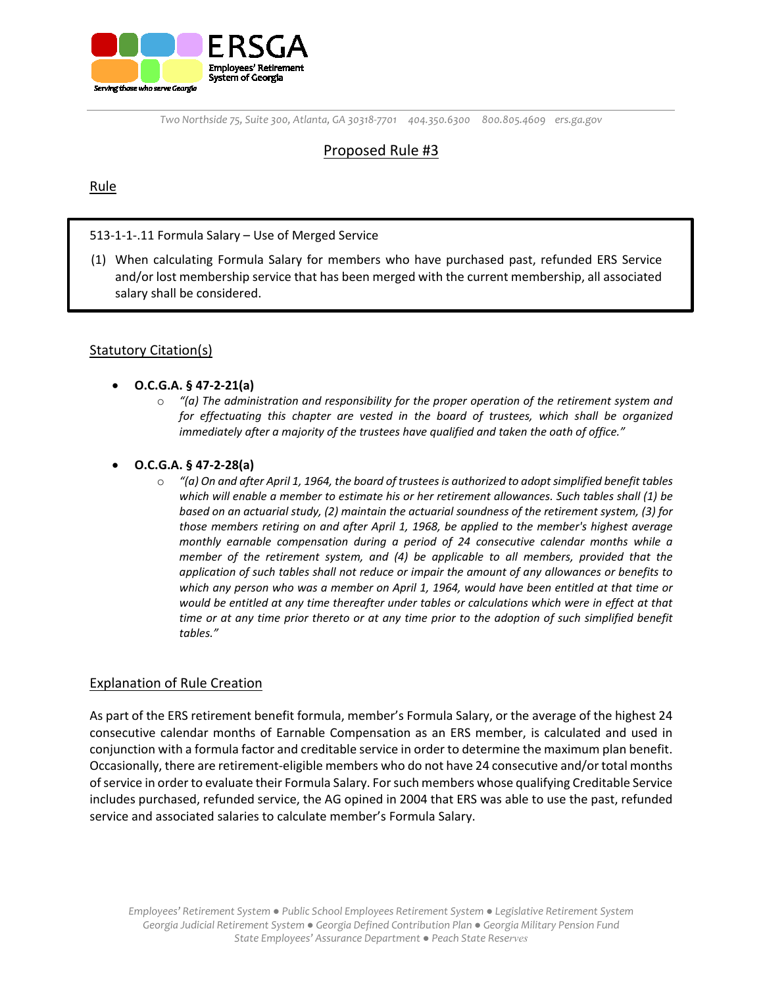

### Proposed Rule #3

### Rule

### 513-1-1-.11 Formula Salary – Use of Merged Service

(1) When calculating Formula Salary for members who have purchased past, refunded ERS Service and/or lost membership service that has been merged with the current membership, all associated salary shall be considered.

### Statutory Citation(s)

- **O.C.G.A. § 47-2-21(a)**
	- o *"(a) The administration and responsibility for the proper operation of the retirement system and for effectuating this chapter are vested in the board of trustees, which shall be organized immediately after a majority of the trustees have qualified and taken the oath of office."*

### • **O.C.G.A. § 47-2-28(a)**

o *"(a) On and after April 1, 1964, the board of trustees is authorized to adopt simplified benefit tables which will enable a member to estimate his or her retirement allowances. Such tables shall (1) be based on an actuarial study, (2) maintain the actuarial soundness of the retirement system, (3) for those members retiring on and after April 1, 1968, be applied to the member's highest average monthly earnable compensation during a period of 24 consecutive calendar months while a member of the retirement system, and (4) be applicable to all members, provided that the application of such tables shall not reduce or impair the amount of any allowances or benefits to which any person who was a member on April 1, 1964, would have been entitled at that time or would be entitled at any time thereafter under tables or calculations which were in effect at that time or at any time prior thereto or at any time prior to the adoption of such simplified benefit tables."*

### Explanation of Rule Creation

As part of the ERS retirement benefit formula, member's Formula Salary, or the average of the highest 24 consecutive calendar months of Earnable Compensation as an ERS member, is calculated and used in conjunction with a formula factor and creditable service in order to determine the maximum plan benefit. Occasionally, there are retirement-eligible members who do not have 24 consecutive and/or total months of service in order to evaluate their Formula Salary. For such members whose qualifying Creditable Service includes purchased, refunded service, the AG opined in 2004 that ERS was able to use the past, refunded service and associated salaries to calculate member's Formula Salary.